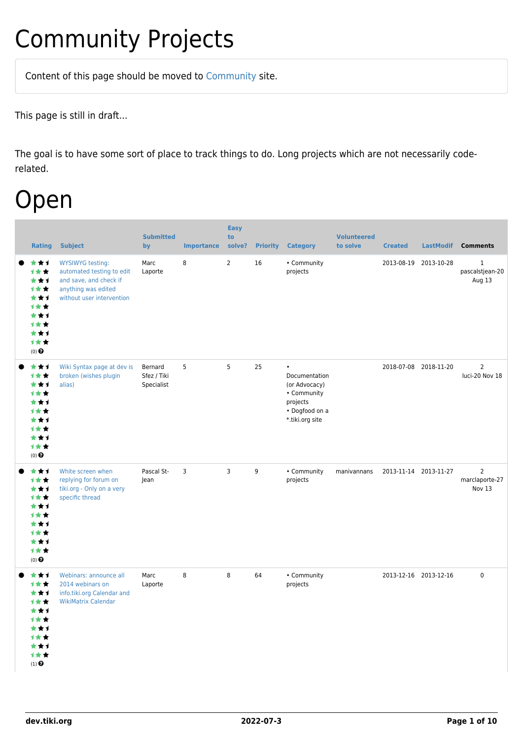# Community Projects

Content of this page should be [moved](https://dev.tiki.org/tiki-editpage.php?page=moved) to [Community](http://tiki.org/Community) site.

This page is still in draft...

The goal is to have some sort of place to track things to do. Long projects which are not necessarily coderelated.

### Open

| <b>Rating</b>                                                                                               | <b>Subject</b>                                                                                                                     | <b>Submitted</b><br>by               | <b>Importance</b> | <b>Easy</b><br>to<br>solve? | <b>Priority</b> | <b>Category</b>                                                                                             | <b>Volunteered</b><br>to solve | <b>Created</b>        | <b>LastModif</b>      | <b>Comments</b>                            |
|-------------------------------------------------------------------------------------------------------------|------------------------------------------------------------------------------------------------------------------------------------|--------------------------------------|-------------------|-----------------------------|-----------------|-------------------------------------------------------------------------------------------------------------|--------------------------------|-----------------------|-----------------------|--------------------------------------------|
| ***<br>计女女<br>***<br><b>1**</b><br>***<br>1★★<br>***<br>计女女<br>***<br>计女女<br>$(0)$ $\odot$                  | <b>WYSIWYG testing:</b><br>automated testing to edit<br>and save, and check if<br>anything was edited<br>without user intervention | Marc<br>Laporte                      | 8                 | $\overline{2}$              | 16              | • Community<br>projects                                                                                     |                                | 2013-08-19            | 2013-10-28            | $\mathbf{1}$<br>pascalstjean-20<br>Aug 13  |
| ***<br>1★★<br>***<br><b>1**</b><br>★★1<br>1**<br>***<br>计女女<br>***<br>计女女<br>$(0)$ $\odot$                  | Wiki Syntax page at dev is<br>broken (wishes plugin<br>alias)                                                                      | Bernard<br>Sfez / Tiki<br>Specialist | 5                 | 5                           | 25              | $\bullet$<br>Documentation<br>(or Advocacy)<br>• Community<br>projects<br>• Dogfood on a<br>*.tiki.org site |                                |                       | 2018-07-08 2018-11-20 | $\overline{2}$<br>luci-20 Nov 18           |
| ***<br>1★★<br>***<br>1★★<br>★★1<br>计女女<br>***<br><b>1**</b><br>***<br>计女女<br>$(0)$ $\odot$                  | White screen when<br>replying for forum on<br>tiki.org - Only on a very<br>specific thread                                         | Pascal St-<br>Jean                   | 3                 | $\overline{3}$              | 9               | • Community<br>projects                                                                                     | manivannans                    | 2013-11-14 2013-11-27 |                       | $\overline{2}$<br>marclaporte-27<br>Nov 13 |
| ***<br>计女女<br>***<br>1★★<br>***<br>计女女<br>★★↑<br>1 ★ ★<br>***<br>计女女<br>$(1)$ <sup><math>\odot</math></sup> | Webinars: announce all<br>2014 webinars on<br>info.tiki.org Calendar and<br><b>WikiMatrix Calendar</b>                             | Marc<br>Laporte                      | 8                 | 8                           | 64              | • Community<br>projects                                                                                     |                                |                       | 2013-12-16 2013-12-16 | $\mathsf 0$                                |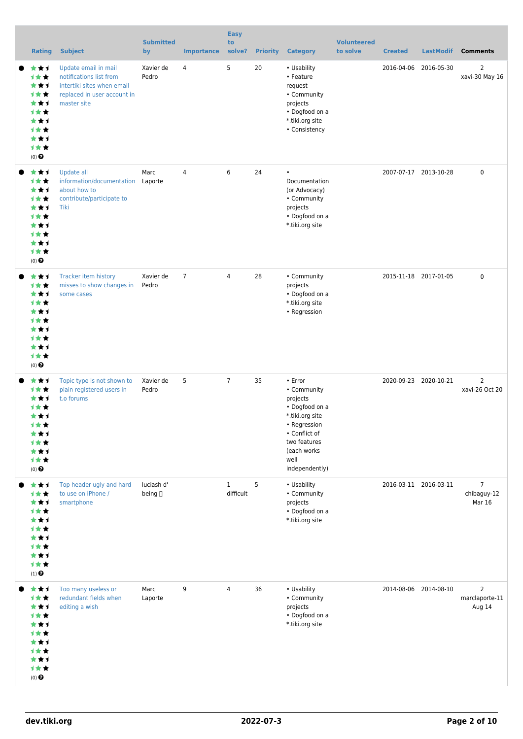| <b>Rating</b>                                                                                            | <b>Subject</b>                                                                                                              | <b>Submitted</b><br>by | <b>Importance</b> | <b>Easy</b><br>to<br>solve? | <b>Priority</b> | <b>Category</b>                                                                                                                                                   | <b>Volunteered</b><br>to solve | <b>Created</b> | <b>LastModif</b>      | <b>Comments</b>                                |
|----------------------------------------------------------------------------------------------------------|-----------------------------------------------------------------------------------------------------------------------------|------------------------|-------------------|-----------------------------|-----------------|-------------------------------------------------------------------------------------------------------------------------------------------------------------------|--------------------------------|----------------|-----------------------|------------------------------------------------|
| ***<br>计女女<br>***<br>计女女<br>***<br>1★★<br>***<br>计女女<br>***<br>1★★<br>$(0)$ $\odot$                      | Update email in mail<br>notifications list from<br>intertiki sites when email<br>replaced in user account in<br>master site | Xavier de<br>Pedro     | 4                 | 5                           | 20              | • Usability<br>• Feature<br>request<br>• Community<br>projects<br>• Dogfood on a<br>*.tiki.org site<br>• Consistency                                              |                                | 2016-04-06     | 2016-05-30            | $\overline{2}$<br>xavi-30 May 16               |
| ★★1<br>计女女<br>***<br>计女女<br>***<br>1★★<br>***<br><b>1**</b><br>★★1<br>1★★<br>$(0)$ $\odot$               | Update all<br>information/documentation<br>about how to<br>contribute/participate to<br>Tiki                                | Marc<br>Laporte        | $\overline{4}$    | 6                           | 24              | $\bullet$<br>Documentation<br>(or Advocacy)<br>• Community<br>projects<br>• Dogfood on a<br>*.tiki.org site                                                       |                                |                | 2007-07-17 2013-10-28 | $\mathbf 0$                                    |
| ***<br>1**<br>***<br><b>1**</b><br>***<br><b>1★★</b><br>***<br><b>1**</b><br>★★1<br>计女女<br>$(0)$ $\odot$ | Tracker item history<br>misses to show changes in<br>some cases                                                             | Xavier de<br>Pedro     | $\overline{7}$    | $\overline{4}$              | 28              | • Community<br>projects<br>• Dogfood on a<br>*.tiki.org site<br>• Regression                                                                                      |                                |                | 2015-11-18 2017-01-05 | $\mathbf 0$                                    |
| ★★1<br>1**<br>***<br>计女女<br>★★1<br>计女女<br>***<br>1★★<br>***<br>计女女<br>$(0)$ $\odot$                      | Topic type is not shown to<br>plain registered users in<br>t.o forums                                                       | Xavier de<br>Pedro     | 5                 | $\overline{7}$              | 35              | • Error<br>• Community<br>projects<br>• Dogfood on a<br>*.tiki.org site<br>• Regression<br>• Conflict of<br>two features<br>(each works<br>well<br>independently) |                                |                | 2020-09-23 2020-10-21 | $\overline{2}$<br>xavi-26 Oct 20               |
| ***<br>计女女<br>***<br>1★★<br>***<br>1**<br>***<br>1★★<br>***<br>1★★<br>$(1)$ $\odot$                      | Top header ugly and hard<br>to use on iPhone /<br>smartphone                                                                | luciash d'<br>being [] |                   | $\mathbf{1}$<br>difficult   | 5               | • Usability<br>• Community<br>projects<br>• Dogfood on a<br>*.tiki.org site                                                                                       |                                |                | 2016-03-11 2016-03-11 | $\overline{7}$<br>chibaguy-12<br><b>Mar 16</b> |
| ***<br>1★★<br>***<br>1★★<br>***<br>1★★<br>***<br>1★★<br>***<br>计女女<br>$(0)$ $\odot$                      | Too many useless or<br>redundant fields when<br>editing a wish                                                              | Marc<br>Laporte        | 9                 | 4                           | 36              | • Usability<br>• Community<br>projects<br>• Dogfood on a<br>*.tiki.org site                                                                                       |                                |                | 2014-08-06 2014-08-10 | $\overline{2}$<br>marclaporte-11<br>Aug 14     |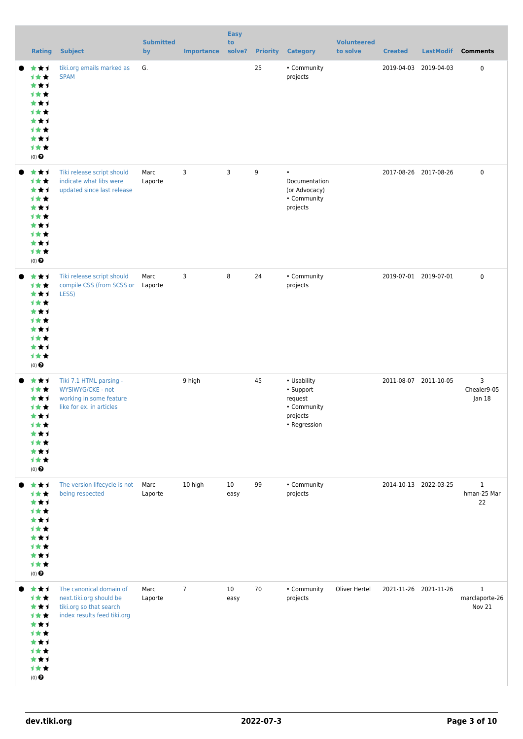| <b>Rating</b>                                                                       | <b>Subject</b>                                                                                               | <b>Submitted</b><br>by | <b>Importance</b> | <b>Easy</b><br>to<br>solve? | <b>Priority</b> | <b>Category</b>                                                                | <b>Volunteered</b><br>to solve | <b>Created</b>        | <b>LastModif</b> | <b>Comments</b>                          |
|-------------------------------------------------------------------------------------|--------------------------------------------------------------------------------------------------------------|------------------------|-------------------|-----------------------------|-----------------|--------------------------------------------------------------------------------|--------------------------------|-----------------------|------------------|------------------------------------------|
| ***<br>计女女<br>***<br>1★★<br>***<br>计女女<br>***<br>1★★<br>***<br>计女女<br>$(0)$ $\odot$ | tiki.org emails marked as<br><b>SPAM</b>                                                                     | G.                     |                   |                             | 25              | • Community<br>projects                                                        |                                | 2019-04-03            | 2019-04-03       | $\mathbf 0$                              |
| ***<br>1★★<br>***<br>计女女<br>***<br>1★★<br>***<br>1★★<br>***<br>计女女<br>$(0)$ $\odot$ | Tiki release script should<br>indicate what libs were<br>updated since last release                          | Marc<br>Laporte        | 3                 | $\overline{3}$              | 9               | $\bullet$<br>Documentation<br>(or Advocacy)<br>• Community<br>projects         |                                | 2017-08-26 2017-08-26 |                  | $\mathbf 0$                              |
| ***<br>1★★<br>***<br>1★★<br>***<br>1★★<br>***<br>1★★<br>***<br>计女女<br>$(0)$ $\odot$ | Tiki release script should<br>compile CSS (from SCSS or Laporte<br>LESS)                                     | Marc                   | 3                 | 8                           | 24              | • Community<br>projects                                                        |                                | 2019-07-01 2019-07-01 |                  | $\mathbf 0$                              |
| ***<br>计女女<br>***<br>1★★<br>***<br>计女女<br>***<br>计女女<br>***<br>计女女<br>$(0)$ $\odot$ | Tiki 7.1 HTML parsing -<br>WYSIWYG/CKE - not<br>working in some feature<br>like for ex. in articles          |                        | 9 high            |                             | 45              | • Usability<br>• Support<br>request<br>• Community<br>projects<br>• Regression |                                | 2011-08-07 2011-10-05 |                  | 3<br>Chealer9-05<br> an 18               |
| ***<br>1★★<br>***<br>1★★<br>***<br>1★★<br>***<br>1★★<br>***<br>计女女<br>$(0)$ $\odot$ | The version lifecycle is not<br>being respected                                                              | Marc<br>Laporte        | 10 high           | 10 <sup>°</sup><br>easy     | 99              | • Community<br>projects                                                        |                                | 2014-10-13 2022-03-25 |                  | $\mathbf{1}$<br>hman-25 Mar<br>22        |
| ***<br>1★★<br>***<br>计女女<br>***<br>1★★<br>***<br>计女女<br>***<br>计女女<br>$(0)$ $\odot$ | The canonical domain of<br>next.tiki.org should be<br>tiki.org so that search<br>index results feed tiki.org | Marc<br>Laporte        | $\overline{7}$    | 10<br>easy                  | 70              | • Community<br>projects                                                        | Oliver Hertel                  | 2021-11-26 2021-11-26 |                  | $\mathbf{1}$<br>marclaporte-26<br>Nov 21 |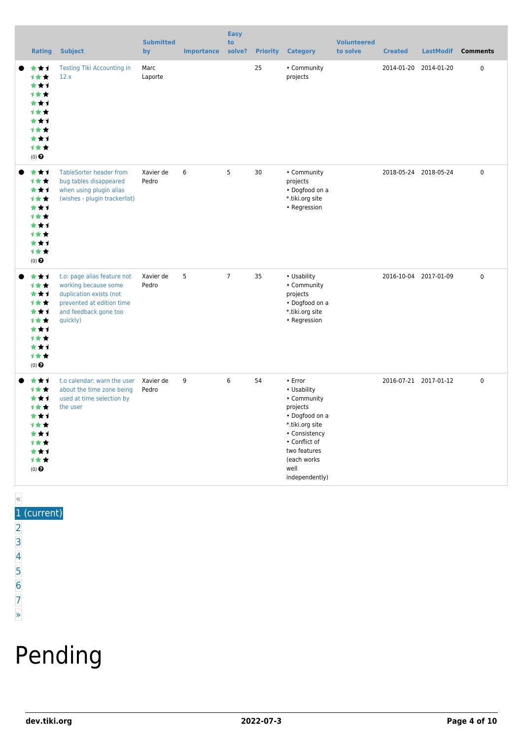| <b>Rating</b>                                                                                                           | <b>Subject</b>                                                                                                                                   | <b>Submitted</b><br>by | <b>Importance</b> | <b>Easy</b><br>to<br>solve? | <b>Priority</b> | <b>Category</b>                                                                                                                                                                    | <b>Volunteered</b><br>to solve | <b>Created</b> | <b>LastModif</b>      | <b>Comments</b> |
|-------------------------------------------------------------------------------------------------------------------------|--------------------------------------------------------------------------------------------------------------------------------------------------|------------------------|-------------------|-----------------------------|-----------------|------------------------------------------------------------------------------------------------------------------------------------------------------------------------------------|--------------------------------|----------------|-----------------------|-----------------|
| ***<br>1★★<br>***<br><b>1**</b><br>★★1<br>***<br>***<br><b>1**</b><br>***<br><b>1**</b><br>$(0)$ $\odot$                | <b>Testing Tiki Accounting in</b><br>12.x                                                                                                        | Marc<br>Laporte        |                   |                             | 25              | • Community<br>projects                                                                                                                                                            |                                | 2014-01-20     | 2014-01-20            | $\pmb{0}$       |
| ***<br>计女女<br>***<br>1★★<br>***<br>1★★<br>***<br><b>1**</b><br>***<br>计女女<br>$(0)$ $\odot$                              | <b>TableSorter header from</b><br>bug tables disappeared<br>when using plugin alias<br>(wishes - plugin trackerlist)                             | Xavier de<br>Pedro     | 6                 | 5                           | 30              | • Community<br>projects<br>• Dogfood on a<br>*.tiki.org site<br>• Regression                                                                                                       |                                |                | 2018-05-24 2018-05-24 | 0               |
| ***<br>计女女<br>***<br>计女女<br>***<br><b>1**</b><br>***<br>1★★<br>***<br>1★★<br>$(0)$ $\odot$                              | t.o: page alias feature not<br>working because some<br>duplication exists (not<br>prevented at edition time<br>and feedback gone too<br>quickly) | Xavier de<br>Pedro     | 5                 | $\overline{7}$              | 35              | • Usability<br>• Community<br>projects<br>• Dogfood on a<br>*.tiki.org site<br>• Regression                                                                                        |                                |                | 2016-10-04 2017-01-09 | $\mathbf 0$     |
| ***<br>计女女<br>***<br><b>1**</b><br>***<br>***<br>***<br><b>1**</b><br>***<br>计女女<br>$(0)$ <sup><math>\odot</math></sup> | t.o calendar: warn the user<br>about the time zone being<br>used at time selection by<br>the user                                                | Xavier de<br>Pedro     | 9                 | 6                           | 54              | • Error<br>• Usability<br>• Community<br>projects<br>• Dogfood on a<br>*.tiki.org site<br>• Consistency<br>• Conflict of<br>two features<br>(each works)<br>well<br>independently) |                                |                | 2016-07-21 2017-01-12 | $\pmb{0}$       |

#### « 1 (current)

- $\overline{2}$  $\overline{2}$  $\overline{2}$ [3](https://dev.tiki.org/tiki-print.php?tr_sort_mode1=f_26_desc&page=Community+Projects&tr_offset1=40)
- [4](https://dev.tiki.org/tiki-print.php?tr_sort_mode1=f_26_desc&page=Community+Projects&tr_offset1=60)
- [5](https://dev.tiki.org/tiki-print.php?tr_sort_mode1=f_26_desc&page=Community+Projects&tr_offset1=80)
- [6](https://dev.tiki.org/tiki-print.php?tr_sort_mode1=f_26_desc&page=Community+Projects&tr_offset1=100)
- [7](https://dev.tiki.org/tiki-print.php?tr_sort_mode1=f_26_desc&page=Community+Projects&tr_offset1=120)

#### [»](https://dev.tiki.org/tiki-print.php?tr_sort_mode1=f_26_desc&page=Community+Projects&tr_offset1=20)

# Pending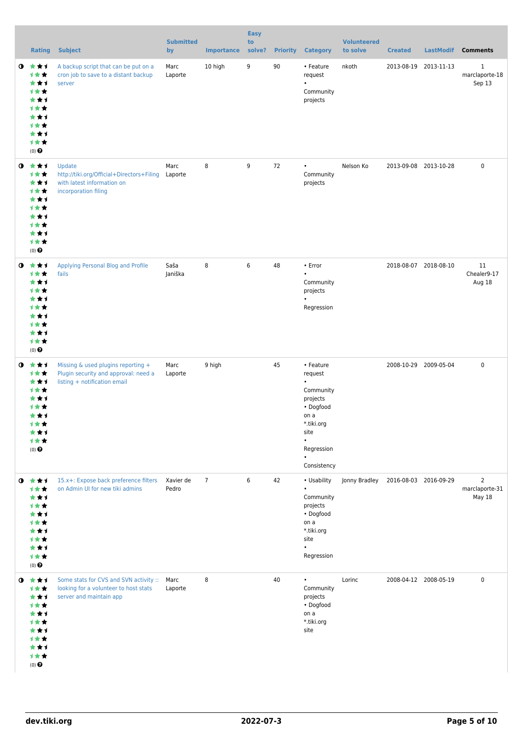|           | <b>Rating</b>                                                                                                         | <b>Subject</b>                                                                                                  | <b>Submitted</b><br>by | <b>Importance</b> | <b>Easy</b><br>to<br>solve? | <b>Priority</b> | <b>Category</b>                                                                                                                                 | <b>Volunteered</b><br>to solve | <b>Created</b>        | <b>LastModif</b>      | <b>Comments</b>                            |
|-----------|-----------------------------------------------------------------------------------------------------------------------|-----------------------------------------------------------------------------------------------------------------|------------------------|-------------------|-----------------------------|-----------------|-------------------------------------------------------------------------------------------------------------------------------------------------|--------------------------------|-----------------------|-----------------------|--------------------------------------------|
| $\bullet$ | ***<br>计女女<br>***<br>计女女<br>***<br>计女女<br>***<br>计女女<br>***<br>1★★<br>$(0)$ $\odot$                                   | A backup script that can be put on a<br>cron job to save to a distant backup<br>server                          | Marc<br>Laporte        | 10 high           | 9                           | 90              | • Feature<br>request<br>$\bullet$<br>Community<br>projects                                                                                      | nkoth                          |                       | 2013-08-19 2013-11-13 | $\mathbf{1}$<br>marclaporte-18<br>Sep 13   |
|           | $0 \star \star \star$<br>计女女<br>***<br>1★★<br>***<br>计女女<br>***<br>计女女<br>***<br>1★★<br>$(0)$ <sup>O</sup>            | Update<br>http://tiki.org/Official+Directors+Filing<br>with latest information on<br>incorporation filing       | Marc<br>Laporte        | 8                 | 9                           | 72              | $\bullet$<br>Community<br>projects                                                                                                              | Nelson Ko                      |                       | 2013-09-08 2013-10-28 | 0                                          |
|           | $0 \star \star \star$<br>计女女<br>***<br>计女女<br>***<br>计女女<br>***<br>计女女<br>***<br>计女女<br>$(0)$ $\Theta$                | Applying Personal Blog and Profile<br>fails                                                                     | Saša<br>Janiška        | 8                 | 6                           | 48              | • Error<br>$\bullet$<br>Community<br>projects<br>$\bullet$<br>Regression                                                                        |                                |                       | 2018-08-07 2018-08-10 | 11<br>Chealer9-17<br>Aug 18                |
|           | $0 \star \star \star$<br>1★★<br>***<br>计女女<br>***<br><b>1 * *</b><br>***<br>计女女<br>***<br>计女女<br>$(0)$ $\odot$        | Missing & used plugins reporting +<br>Plugin security and approval: need a<br>listing + notification email      | Marc<br>Laporte        | 9 high            |                             | 45              | • Feature<br>request<br>$\bullet$<br>Community<br>projects<br>• Dogfood<br>on a<br>*.tiki.org<br>site<br>$\bullet$<br>Regression<br>Consistency |                                |                       | 2008-10-29 2009-05-04 | 0                                          |
|           | $0 \star \star \star$<br>计女女<br>***<br><b>1**</b><br>***<br><b>1**</b><br>***<br>计女女<br>***<br>1★★<br>$(0)$ $\Theta$  | 15.x+: Expose back preference filters<br>on Admin UI for new tiki admins                                        | Xavier de<br>Pedro     | $\overline{7}$    | 6                           | 42              | • Usability<br>$\bullet$<br>Community<br>projects<br>• Dogfood<br>on a<br>*.tiki.org<br>site<br>$\bullet$<br>Regression                         | Jonny Bradley                  | 2016-08-03 2016-09-29 |                       | $\overline{2}$<br>marclaporte-31<br>May 18 |
|           | $0 \star \star \star$<br>计女女<br>***<br>***<br>***<br><b>1**</b><br>***<br><b>1 ★ ★</b><br>***<br>计女女<br>$(0)$ $\odot$ | Some stats for CVS and SVN activity :: Marc<br>looking for a volunteer to host stats<br>server and maintain app | Laporte                | 8                 |                             | 40              | $\bullet$<br>Community<br>projects<br>• Dogfood<br>on a<br>*.tiki.org<br>site                                                                   | Lorinc                         |                       | 2008-04-12 2008-05-19 | $\pmb{0}$                                  |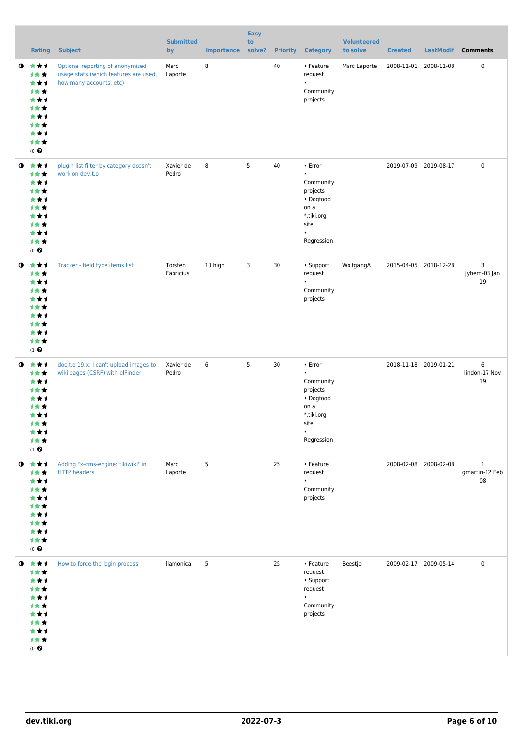|           | <b>Rating</b>                                                                                                            | <b>Subject</b>                                                                                       | <b>Submitted</b><br>by | <b>Importance</b> | <b>Easy</b><br>to<br>solve? |    | <b>Priority Category</b>                                                                                            | <b>Volunteered</b><br>to solve | <b>Created</b>        | <b>LastModif</b> | <b>Comments</b>                      |
|-----------|--------------------------------------------------------------------------------------------------------------------------|------------------------------------------------------------------------------------------------------|------------------------|-------------------|-----------------------------|----|---------------------------------------------------------------------------------------------------------------------|--------------------------------|-----------------------|------------------|--------------------------------------|
|           | $0 \star \star \star$<br>计女女<br>***<br>1★★<br>***<br>计女女<br>***<br>计女女<br>***<br>1★★<br>$(0)$ $\Theta$                   | Optional reporting of anonymized<br>usage stats (which features are used,<br>how many accounts, etc) | Marc<br>Laporte        | 8                 |                             | 40 | • Feature<br>request<br>$\bullet$<br>Community<br>projects                                                          | Marc Laporte                   | 2008-11-01 2008-11-08 |                  | 0                                    |
|           | $0 \star \star \star$<br>1★★<br>***<br>计女女<br>***<br><b>1**</b><br>***<br>计女女<br>***<br>计女女<br>$(0)$ $\odot$             | plugin list filter by category doesn't<br>work on dev.t.o                                            | Xavier de<br>Pedro     | 8                 | 5                           | 40 | • Error<br>$\bullet$<br>Community<br>projects<br>• Dogfood<br>on a<br>*.tiki.org<br>site<br>$\bullet$<br>Regression |                                | 2019-07-09 2019-08-17 |                  | 0                                    |
| $\bullet$ | ***<br>1★★<br>***<br>计女女<br>***<br>计女女<br>***<br>计女女<br>***<br>计女女<br>$(1)$ $\odot$                                      | Tracker - field type items list                                                                      | Torsten<br>Fabricius   | 10 high           | 3                           | 30 | • Support<br>request<br>$\bullet$<br>Community<br>projects                                                          | WolfgangA                      | 2015-04-05 2018-12-28 |                  | 3<br>Jyhem-03 Jan<br>19              |
|           | $0 \star \star \star$<br>计女女<br>***<br>计女女<br>***<br><b>1 ★ ★</b><br>***<br>才女女<br>***<br>计女女<br>$(1)$<br>$\pmb{\Theta}$ | doc.t.o 19.x: I can't upload images to<br>wiki pages (CSRF) with elFinder                            | Xavier de<br>Pedro     | 6                 | 5                           | 30 | • Error<br>$\bullet$<br>Community<br>projects<br>• Dogfood<br>on a<br>*.tiki.org<br>site<br>$\bullet$<br>Regression |                                | 2018-11-18 2019-01-21 |                  | 6<br>lindon-17 Nov<br>19             |
|           | $0 \star \star \star$<br>计女女<br>***<br>1★★<br>***<br>计女女<br>***<br>1★★<br>***<br>计女女<br>$(0)$ $\odot$                    | Adding "x-cms-engine: tikiwiki" in<br><b>HTTP headers</b>                                            | Marc<br>Laporte        | 5                 |                             | 25 | • Feature<br>request<br>$\bullet$<br>Community<br>projects                                                          |                                | 2008-02-08 2008-02-08 |                  | $\mathbf{1}$<br>gmartin-12 Feb<br>08 |
|           | $0 \star \star \star$<br>计女女<br>***<br>计女女<br>***<br>计女女<br>***<br><b>1**</b><br>***<br>计女女<br>$(0)$ $\Theta$            | How to force the login process                                                                       | llamonica              | 5                 |                             | 25 | • Feature<br>request<br>• Support<br>request<br>Community<br>projects                                               | Beestje                        | 2009-02-17 2009-05-14 |                  | 0                                    |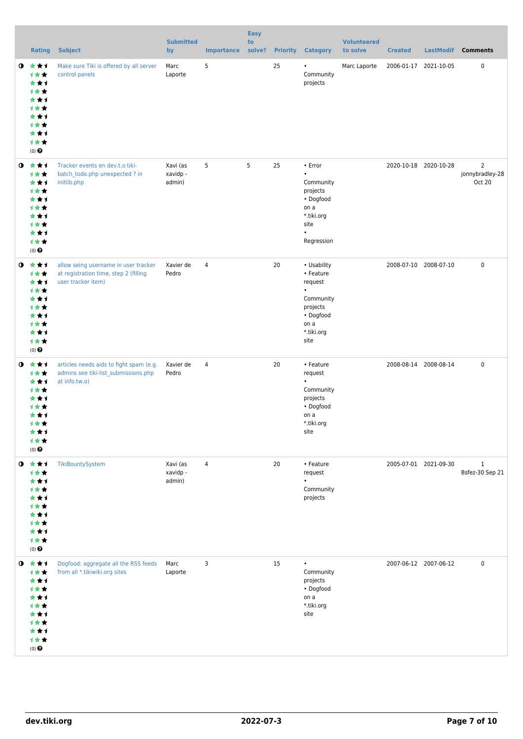|           | <b>Rating</b>                                                                                     | <b>Subject</b>                                                                                      | <b>Submitted</b><br>by         | <b>Importance</b> | <b>Easy</b><br>to<br>solve? |    | <b>Priority Category</b>                                                                                             | <b>Volunteered</b><br>to solve | <b>Created</b> | <b>LastModif</b>      | <b>Comments</b>                             |
|-----------|---------------------------------------------------------------------------------------------------|-----------------------------------------------------------------------------------------------------|--------------------------------|-------------------|-----------------------------|----|----------------------------------------------------------------------------------------------------------------------|--------------------------------|----------------|-----------------------|---------------------------------------------|
| $\bullet$ | 食食す<br>计女女<br>***<br><b>1**</b><br>***<br>计女女<br>***<br>计女女<br>***<br>计女女<br>$(0)$ $\odot$        | Make sure Tiki is offered by all server<br>control panels                                           | Marc<br>Laporte                | 5                 |                             | 25 | $\bullet$<br>Community<br>projects                                                                                   | Marc Laporte                   |                | 2006-01-17 2021-10-05 | 0                                           |
| $\bullet$ | 大大才<br>计女女<br>***<br>计女女<br>***<br><b>1**</b><br>***<br>计女女<br>***<br>计女女<br>$(0)$ $\odot$        | Tracker events en dev.t.o tiki-<br>batch_todo.php unexpected ? in<br>initlib.php                    | Xavi (as<br>xavidp -<br>admin) | 5                 | 5                           | 25 | • Error<br>$\bullet$<br>Community<br>projects<br>• Dogfood<br>on a<br>*.tiki.org<br>site<br>$\bullet$<br>Regression  |                                |                | 2020-10-18 2020-10-28 | $\overline{2}$<br>jonnybradley-28<br>Oct 20 |
| $\bullet$ | ***<br>计女女<br>***<br><b>1**</b><br>***<br>计女女<br>***<br>计女女<br>***<br>计女女<br>$(0)$ $\odot$        | allow seing username in user tracker<br>at registration time, step 2 (filling<br>user tracker item) | Xavier de<br>Pedro             | 4                 |                             | 20 | • Usability<br>• Feature<br>request<br>$\bullet$<br>Community<br>projects<br>• Dogfood<br>on a<br>*.tiki.org<br>site |                                |                | 2008-07-10 2008-07-10 | 0                                           |
| $\bullet$ | ***<br>计女女<br>***<br>计女女<br>***<br>1 <del>*</del> *<br>***<br>计女女<br>***<br>计女女<br>$(0)$ $\Theta$ | articles needs aids to fight spam (e.g.<br>admins see tiki-list_submissions.php<br>at info.tw.o)    | Xavier de<br>Pedro             | $\overline{4}$    |                             | 20 | • Feature<br>request<br>$\bullet$<br>Community<br>projects<br>• Dogfood<br>on a<br>*.tiki.org<br>site                |                                |                | 2008-08-14 2008-08-14 | 0                                           |
| $\bullet$ | 大女子<br>计女女<br>***<br>计女女<br>***<br>1★★<br>***<br>计女女<br>***<br>计女女<br>$(0)$<br>$\pmb{\Theta}$     | TikiBountySystem                                                                                    | Xavi (as<br>xavidp -<br>admin) | 4                 |                             | 20 | • Feature<br>request<br>Community<br>projects                                                                        |                                |                | 2005-07-01 2021-09-30 | $\mathbf{1}$<br>Bsfez-30 Sep 21             |
| $\bullet$ | 大大士<br>计女女<br>***<br>计女女<br>***<br>计女女<br>***<br>计女女<br>***<br>计女女<br>$(0)$ $\Theta$              | Dogfood: aggregate all the RSS feeds<br>from all *.tikiwiki.org sites                               | Marc<br>Laporte                | 3                 |                             | 15 | $\bullet$<br>Community<br>projects<br>• Dogfood<br>on a<br>*.tiki.org<br>site                                        |                                |                | 2007-06-12 2007-06-12 | 0                                           |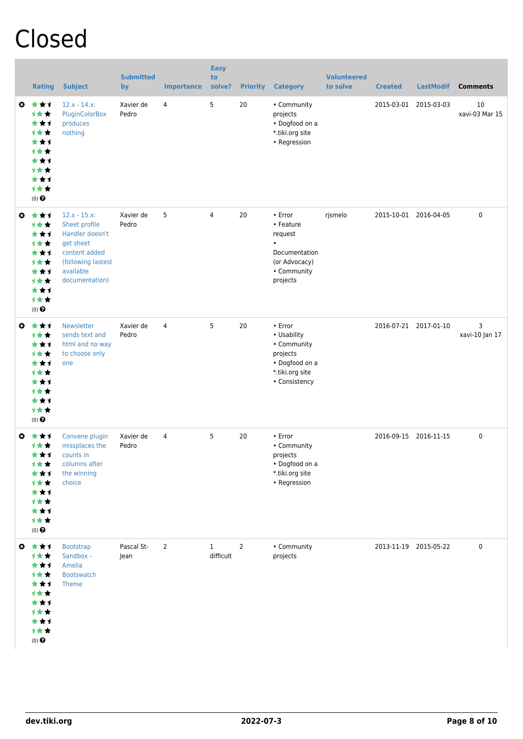# Closed

|           | <b>Rating</b>                                                                                                   | <b>Subject</b>                                                                                                                       | <b>Submitted</b><br>by | <b>Importance</b> | <b>Easy</b><br>to<br>solve? | <b>Priority</b> | <b>Category</b>                                                                                                 | <b>Volunteered</b><br>to solve | <b>Created</b> | <b>LastModif</b>      | <b>Comments</b>      |
|-----------|-----------------------------------------------------------------------------------------------------------------|--------------------------------------------------------------------------------------------------------------------------------------|------------------------|-------------------|-----------------------------|-----------------|-----------------------------------------------------------------------------------------------------------------|--------------------------------|----------------|-----------------------|----------------------|
| O.        | ***<br>计女女<br>***<br>计女女<br>★★1<br><b>1★★</b><br>**1<br><b>1**</b><br>***<br>1★★<br>$(0)$ $\odot$               | $12.x - 14.x$<br>PluginColorBox<br>produces<br>nothing                                                                               | Xavier de<br>Pedro     | 4                 | 5                           | 20              | • Community<br>projects<br>• Dogfood on a<br>*.tiki.org site<br>• Regression                                    |                                |                | 2015-03-01 2015-03-03 | 10<br>xavi-03 Mar 15 |
| O         | ***<br><b>1**</b><br>***<br>计女女<br>★★1<br>计女女<br>***<br><b>1**</b><br>***<br>计女女<br>$(0)$ $\odot$               | $12.x - 15.x$<br>Sheet profile<br>Handler doesn't<br>get sheet<br>content added<br>(following lastest<br>available<br>documentation) | Xavier de<br>Pedro     | 5                 | 4                           | 20              | $\cdot$ Error<br>• Feature<br>request<br>$\bullet$<br>Documentation<br>(or Advocacy)<br>• Community<br>projects | rjsmelo                        |                | 2015-10-01 2016-04-05 | 0                    |
| $\bullet$ | 女女子<br><b>1**</b><br>***<br><b>1**</b><br>***<br><b>1★★</b><br>**1<br><b>1**</b><br>★★1<br>1★★<br>$(0)$ $\odot$ | <b>Newsletter</b><br>sends text and<br>html and no way<br>to choose only<br>one                                                      | Xavier de<br>Pedro     | 4                 | 5                           | 20              | • Error<br>• Usability<br>• Community<br>projects<br>• Dogfood on a<br>*.tiki.org site<br>• Consistency         |                                |                | 2016-07-21 2017-01-10 | 3<br>xavi-10 Jan 17  |
| Ø         | ***<br><b>1★★</b><br>***<br>计女女<br>★★1<br>计女女<br>★★1<br>计女女<br>***<br>计女女<br>$(0)$ $\odot$                      | Convene plugin<br>missplaces the<br>counts in<br>columns after<br>the winning<br>choice                                              | Xavier de<br>Pedro     | 4                 | 5                           | 20              | • Error<br>• Community<br>projects<br>• Dogfood on a<br>*.tiki.org site<br>• Regression                         |                                |                | 2016-09-15 2016-11-15 | 0                    |
| ⊖         | ***<br>计女女<br>***<br>计女女<br>***<br>计女女<br>***<br>计女女<br>***<br>计女女<br>$(0)$<br>$\pmb{\Theta}$                   | <b>Bootstrap</b><br>Sandbox -<br>Amelia<br><b>Bootswatch</b><br>Theme                                                                | Pascal St-<br>Jean     | $\overline{2}$    | $\mathbf{1}$<br>difficult   | $\overline{2}$  | • Community<br>projects                                                                                         |                                |                | 2013-11-19 2015-05-22 | $\pmb{0}$            |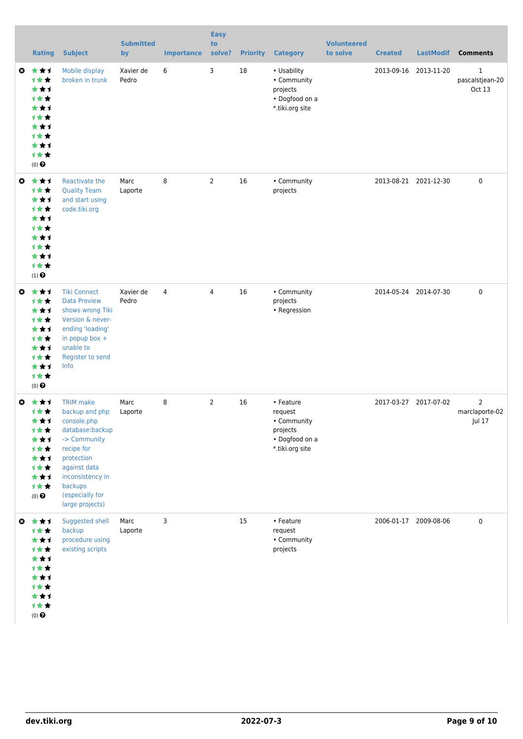|           | <b>Rating</b>                                                                                                   | <b>Subject</b>                                                                                                                                                                                        | <b>Submitted</b><br>by | <b>Importance</b> | <b>Easy</b><br>to<br>solve? |    | <b>Priority Category</b>                                                             | <b>Volunteered</b><br>to solve | <b>Created</b> | <b>LastModif</b>      | <b>Comments</b>                |
|-----------|-----------------------------------------------------------------------------------------------------------------|-------------------------------------------------------------------------------------------------------------------------------------------------------------------------------------------------------|------------------------|-------------------|-----------------------------|----|--------------------------------------------------------------------------------------|--------------------------------|----------------|-----------------------|--------------------------------|
| O         | ***<br><b>1★★</b><br>***<br><b>1**</b><br>***<br><b>1**</b><br>***<br><b>1**</b><br>★★1<br>1★★<br>$(0)$ $\odot$ | Mobile display<br>broken in trunk                                                                                                                                                                     | Xavier de<br>Pedro     | 6                 | 3                           | 18 | • Usability<br>• Community<br>projects<br>• Dogfood on a<br>*.tiki.org site          |                                | 2013-09-16     | 2013-11-20            | 1<br>pascalstjean-20<br>Oct 13 |
| ◶         | ***<br><b>1★★</b><br>★★↑<br><b>1**</b><br>★★1<br><b>1**</b><br>***<br><b>1**</b><br>***<br>计女女<br>$(1)$ $\odot$ | Reactivate the<br><b>Quality Team</b><br>and start using<br>code.tiki.org                                                                                                                             | Marc<br>Laporte        | 8                 | $\overline{2}$              | 16 | • Community<br>projects                                                              |                                |                | 2013-08-21 2021-12-30 | $\pmb{0}$                      |
| $\bullet$ | ***<br><b>1★★</b><br>★★1<br><b>1**</b><br>★★1<br><b>1**</b><br>★★1<br><b>1**</b><br>***<br>计女女<br>$(0)$ $\odot$ | <b>Tiki Connect</b><br><b>Data Preview</b><br>shows wrong Tiki<br>Version & never-<br>ending 'loading'<br>in popup box +<br>unable to<br>Register to send<br>Info                                     | Xavier de<br>Pedro     | $\overline{4}$    | 4                           | 16 | • Community<br>projects<br>• Regression                                              |                                |                | 2014-05-24 2014-07-30 | $\pmb{0}$                      |
| Ø         | ***<br>计女女<br>***<br>计女女<br>***<br>计女女<br>***<br>计女女<br>***<br>1★★<br>$(0)$ $\odot$                             | <b>TRIM</b> make<br>backup and php<br>console.php<br>database:backup<br>-> Community<br>recipe for<br>protection<br>against data<br>inconsistency in<br>backups<br>(especially for<br>large projects) | Marc<br>Laporte        | 8                 | $\overline{2}$              | 16 | • Feature<br>request<br>• Community<br>projects<br>• Dogfood on a<br>*.tiki.org site |                                |                | 2017-03-27 2017-07-02 | 2<br>marclaporte-02<br>Jul 17  |
| ◶         | 大大士<br>计女女<br>***<br>1★★<br>***<br>计女女<br>***<br>计女女<br>***<br>计女女<br>$(0)$ $\odot$                             | Suggested shell<br>backup<br>procedure using<br>existing scripts                                                                                                                                      | Marc<br>Laporte        | 3                 |                             | 15 | • Feature<br>request<br>• Community<br>projects                                      |                                |                | 2006-01-17 2009-08-06 | $\pmb{0}$                      |